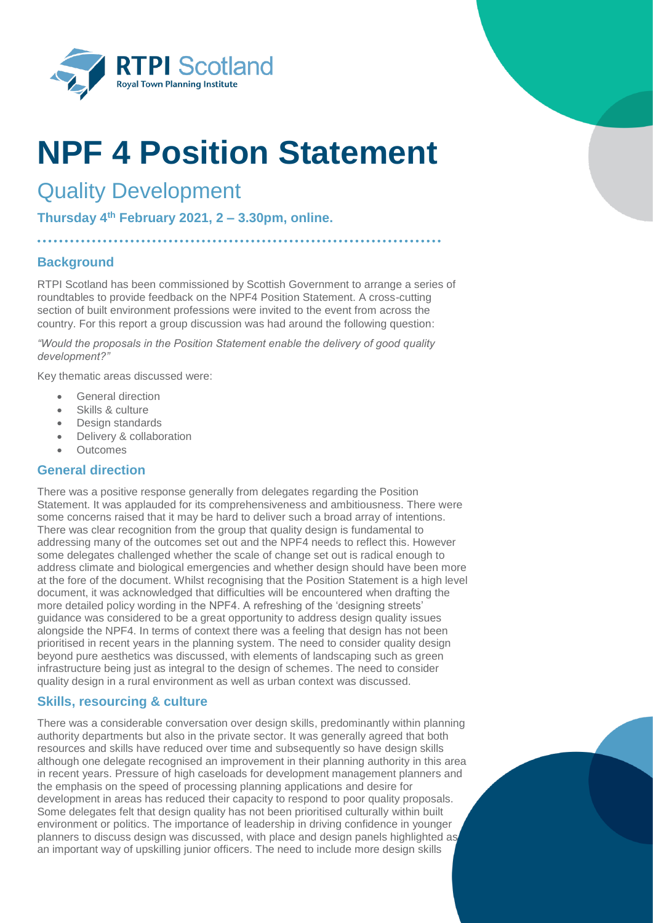

# **NPF 4 Position Statement**

# Quality Development

**Thursday 4th February 2021, 2 – 3.30pm, online.**

# **Background**

RTPI Scotland has been commissioned by Scottish Government to arrange a series of roundtables to provide feedback on the NPF4 Position Statement. A cross-cutting section of built environment professions were invited to the event from across the country. For this report a group discussion was had around the following question:

*"Would the proposals in the Position Statement enable the delivery of good quality development?"* 

Key thematic areas discussed were:

- General direction
- Skills & culture
- Design standards
- Delivery & collaboration
- Outcomes

## **General direction**

There was a positive response generally from delegates regarding the Position Statement. It was applauded for its comprehensiveness and ambitiousness. There were some concerns raised that it may be hard to deliver such a broad array of intentions. There was clear recognition from the group that quality design is fundamental to addressing many of the outcomes set out and the NPF4 needs to reflect this. However some delegates challenged whether the scale of change set out is radical enough to address climate and biological emergencies and whether design should have been more at the fore of the document. Whilst recognising that the Position Statement is a high level document, it was acknowledged that difficulties will be encountered when drafting the more detailed policy wording in the NPF4. A refreshing of the 'designing streets' guidance was considered to be a great opportunity to address design quality issues alongside the NPF4. In terms of context there was a feeling that design has not been prioritised in recent years in the planning system. The need to consider quality design beyond pure aesthetics was discussed, with elements of landscaping such as green infrastructure being just as integral to the design of schemes. The need to consider quality design in a rural environment as well as urban context was discussed.

#### **Skills, resourcing & culture**

There was a considerable conversation over design skills, predominantly within planning authority departments but also in the private sector. It was generally agreed that both resources and skills have reduced over time and subsequently so have design skills although one delegate recognised an improvement in their planning authority in this area in recent years. Pressure of high caseloads for development management planners and the emphasis on the speed of processing planning applications and desire for development in areas has reduced their capacity to respond to poor quality proposals. Some delegates felt that design quality has not been prioritised culturally within built environment or politics. The importance of leadership in driving confidence in younger planners to discuss design was discussed, with place and design panels highlighted as an important way of upskilling junior officers. The need to include more design skills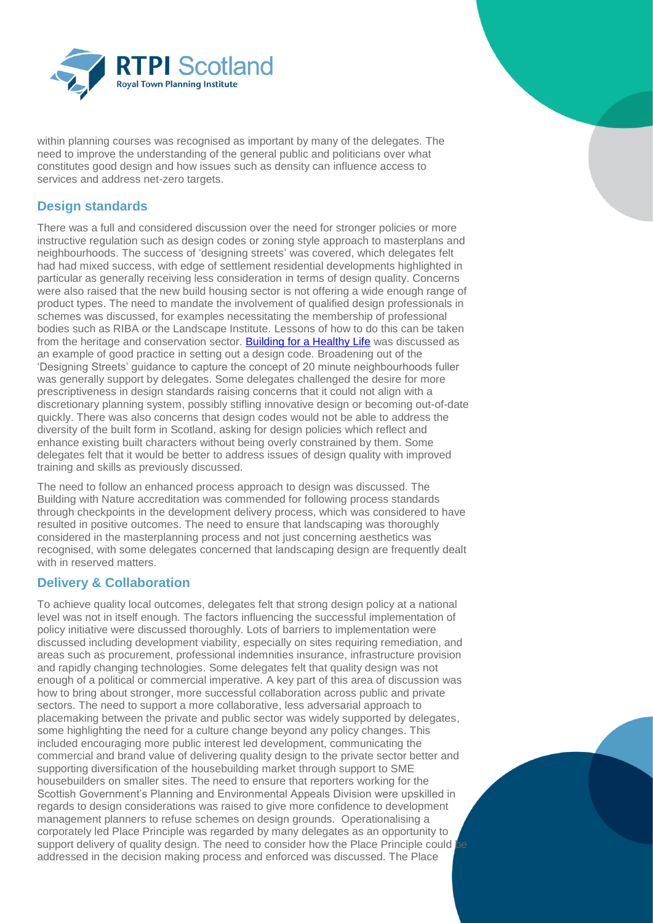

within planning courses was recognised as important by many of the delegates. The need to improve the understanding of the general public and politicians over what constitutes good design and how issues such as density can influence access to services and address net-zero targets.

# **Design standards**

There was a full and considered discussion over the need for stronger policies or more instructive regulation such as design codes or zoning style approach to masterplans and neighbourhoods. The success of 'designing streets' was covered, which delegates felt had had mixed success, with edge of settlement residential developments highlighted in particular as generally receiving less consideration in terms of design quality. Concerns were also raised that the new build housing sector is not offering a wide enough range of product types. The need to mandate the involvement of qualified design professionals in schemes was discussed, for examples necessitating the membership of professional bodies such as RIBA or the Landscape Institute. Lessons of how to do this can be taken from the heritage and conservation sector. [Building for a Healthy Life](https://www.creatingexcellence.net/wp-content/uploads/2020/07/Building-for-a-Healthy-Life-July-2020.pdf) was discussed as an example of good practice in setting out a design code. Broadening out of the 'Designing Streets' guidance to capture the concept of 20 minute neighbourhoods fuller was generally support by delegates. Some delegates challenged the desire for more prescriptiveness in design standards raising concerns that it could not align with a discretionary planning system, possibly stifling innovative design or becoming out-of-date quickly. There was also concerns that design codes would not be able to address the diversity of the built form in Scotland, asking for design policies which reflect and enhance existing built characters without being overly constrained by them. Some delegates felt that it would be better to address issues of design quality with improved training and skills as previously discussed.

The need to follow an enhanced process approach to design was discussed. The Building with Nature accreditation was commended for following process standards through checkpoints in the development delivery process, which was considered to have resulted in positive outcomes. The need to ensure that landscaping was thoroughly considered in the masterplanning process and not just concerning aesthetics was recognised, with some delegates concerned that landscaping design are frequently dealt with in reserved matters.

## **Delivery & Collaboration**

To achieve quality local outcomes, delegates felt that strong design policy at a national level was not in itself enough. The factors influencing the successful implementation of policy initiative were discussed thoroughly. Lots of barriers to implementation were discussed including development viability, especially on sites requiring remediation, and areas such as procurement, professional indemnities insurance, infrastructure provision and rapidly changing technologies. Some delegates felt that quality design was not enough of a political or commercial imperative. A key part of this area of discussion was how to bring about stronger, more successful collaboration across public and private sectors. The need to support a more collaborative, less adversarial approach to placemaking between the private and public sector was widely supported by delegates, some highlighting the need for a culture change beyond any policy changes. This included encouraging more public interest led development, communicating the commercial and brand value of delivering quality design to the private sector better and supporting diversification of the housebuilding market through support to SME housebuilders on smaller sites. The need to ensure that reporters working for the Scottish Government's Planning and Environmental Appeals Division were upskilled in regards to design considerations was raised to give more confidence to development management planners to refuse schemes on design grounds. Operationalising a corporately led Place Principle was regarded by many delegates as an opportunity to support delivery of quality design. The need to consider how the Place Principle could addressed in the decision making process and enforced was discussed. The Place